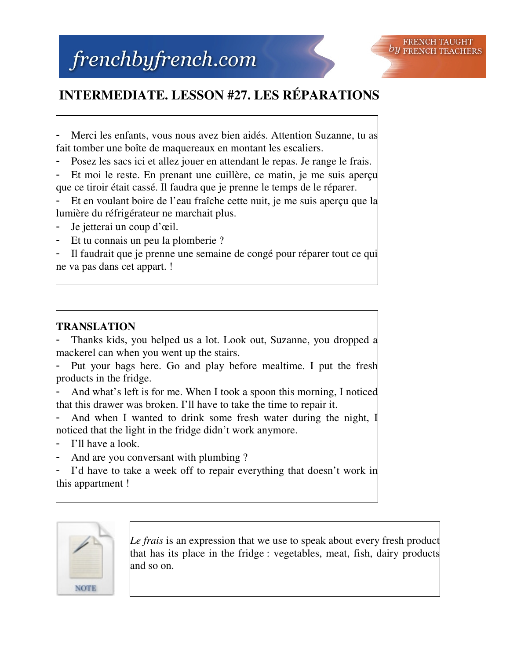## **INTERMEDIATE. LESSON #27. LES RÉPARATIONS**

Merci les enfants, vous nous avez bien aidés. Attention Suzanne, tu as fait tomber une boîte de maquereaux en montant les escaliers.

Posez les sacs ici et allez jouer en attendant le repas. Je range le frais.

Et moi le reste. En prenant une cuillère, ce matin, je me suis apercu que ce tiroir était cassé. Il faudra que je prenne le temps de le réparer.

Et en voulant boire de l'eau fraîche cette nuit, je me suis aperçu que la lumière du réfrigérateur ne marchait plus.

Je jetterai un coup d'œil.

Et tu connais un peu la plomberie ?

Il faudrait que je prenne une semaine de congé pour réparer tout ce qui ne va pas dans cet appart. !

## **TRANSLATION**

Thanks kids, you helped us a lot. Look out, Suzanne, you dropped a mackerel can when you went up the stairs.

Put your bags here. Go and play before mealtime. I put the fresh products in the fridge.

And what's left is for me. When I took a spoon this morning, I noticed that this drawer was broken. I'll have to take the time to repair it.

And when I wanted to drink some fresh water during the night, I noticed that the light in the fridge didn't work anymore.

I'll have a look.

And are you conversant with plumbing?

I'd have to take a week off to repair everything that doesn't work in this appartment !



*Le frais* is an expression that we use to speak about every fresh product that has its place in the fridge : vegetables, meat, fish, dairy products and so on.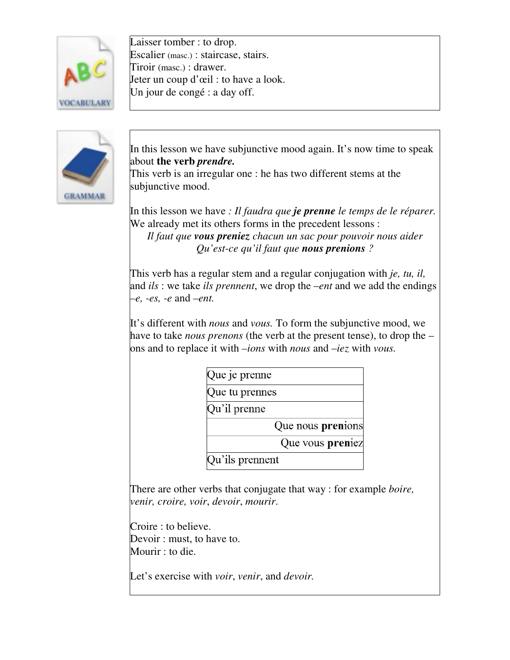

Laisser tomber : to drop. Escalier (masc.) : staircase, stairs. Tiroir (masc.) : drawer. Jeter un coup d'œil : to have a look. Un jour de congé : a day off.



In this lesson we have subjunctive mood again. It's now time to speak about **the verb** *prendre.*

This verb is an irregular one : he has two different stems at the subjunctive mood.

In this lesson we have *: Il faudra que je prenne le temps de le réparer.* We already met its others forms in the precedent lessons :

*Il faut que vous preniez chacun un sac pour pouvoir nous aider Qu'est-ce qu'il faut que nous prenions ?*

This verb has a regular stem and a regular conjugation with *je, tu, il,* and *ils* : we take *ils prennent*, we drop the –*ent* and we add the endings *–e, -es, -e* and *–ent.*

It's different with *nous* and *vous.* To form the subjunctive mood, we have to take *nous prenons* (the verb at the present tense), to drop the – ons and to replace it with *–ions* with *nous* and –*iez* with *vous.*

Que je prenne

Que tu prennes

Qu'il prenne

Que nous prenions

Que vous preniez

Qu'ils prennent

There are other verbs that conjugate that way : for example *boire, venir, croire, voir*, *devoir*, *mourir*.

Croire : to believe. Devoir : must, to have to. Mourir : to die.

Let's exercise with *voir*, *venir*, and *devoir.*